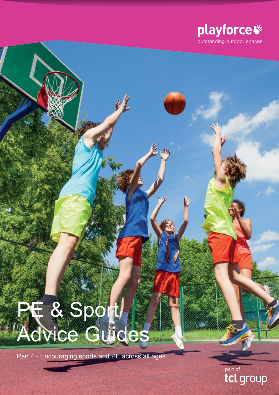

# PF & Sport Advice Guides

Part 4 - Encouraging sports and PE across all ages

part of<br>**tcl** group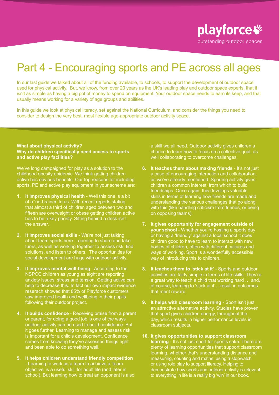playforce  $\mathscr G$ outstanding outdoor spaces

## Part 4 - Encouraging sports and PE across all ages

In our last guide we talked about all of the funding available, to schools, to support the development of outdoor space used for physical activity. But, we know, from over 20 years as the UK's leading play and outdoor space experts, that it isn't as simple as having a big pot of money to spend on equipment. Your outdoor space needs to earn its keep, and that usually means working for a variety of age groups and abilities.

In this guide we look at physical literacy, set against the National Curriculum, and consider the things you need to consider to design the very best, most flexible age-appropriate outdoor activity space.

## **What about physical activity? Why do children specifically need access to sports and active play facilities?**

We've long campaigned for play as a solution to the childhood obesity epidemic. We think getting children active has obvious benefits. Our top reasons for including sports, PE and active play equipment in your scheme are:

- **1. It improves physical health** Well this one is a bit of a 'no-brainer' to us. With recent reports stating that almost a third of children aged between two and fifteen are overweight or obese getting children active has to be a key priority. Sitting behind a desk isn't the answer.
- **2. It improves social skills** We're not just talking about team sports here. Learning to share and take turns, as well as working together to assess risk, find solutions, and listen to others. The opportunities for social development are huge with outdoor activity.
- **3. It improves mental well-being** According to the NSPCC children as young as eight are reporting anxiety issues, stress and tension. Getting active can help to decrease this. In fact our own impact evidence reserach showed that 85% of Playforce customers saw improved health and wellbeing in their pupils following their outdoor project.
- **4. It builds confidence** Receiving praise from a parent or parent, for doing a good job is one of the ways outdoor activity can be used to build confidence. But it goes further. Learning to manage and assess risk is important for a child's development. Confidence comes from knowing they've assessed things right and been able to do something well.
- **5. It helps children understand friendly competition** - Learning to work as a team to achieve a 'team objective' is a useful skill for adult life (and later in school). But learning how to treat an opponent is also

a skill we all need. Outdoor activity gives children a chance to learn how to focus on a collective goal, as well collaborating to overcome challenges.

- **6. It teaches them about making friends** It's not just a case of encouraging interaction and collaboration, as we've already mentioned. Sporting activity gives children a common interest, from which to build friendships. Once again, this develops valuable skills in terms of learning how friends are made and understanding the various challenges that go along with this (like handling criticism from friends, or being on opposing teams).
- **7. It gives opportunity for engagement outside of your school** - Whether you're hosting a sports day or having a 'friendly' against a local school it does children good to have to learn to interact with new bodies of children, often with different cultures and ways of working. Sport is a wonderfully accessible way of introducing this to children.
- **8. It teaches them to 'stick at it'** Sports and outdoor activities are fairly simple in terms of life skills. They're a great way to teach a child that working hard … and, of course, learning to 'stick at it'... result in outcomes that merit reward.
- **9. It helps with classroom learning** Sport isn't just an attractive alternative activity. Studies have proven that sport gives children energy, throughout the day, which results in higher performance levels in classroom subjects.
- **10. It gives opportunities to support classroom learning** - It's not just sport for sport's sake. There are plenty of learning opportunities that support classroom learning, whether that's understanding distance and measuring, counting and maths, using a stopwatch or using role play to support literacy. Helping to demonstrate how sports and outdoor activity is relevant to everything in life is a really big 'win' in our book.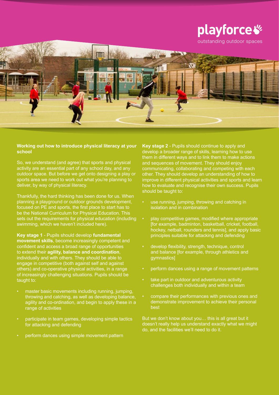

## **Working out how to introduce physical literacy at your school**

So, we understand (and agree) that sports and physical activity are an essential part of any school day, and any outdoor space. But before we get onto designing a play or sports area we need to work out what you're planning to deliver, by way of physical literacy.

Thankfully, the hard thinking has been done for us. When planning a playground or outdoor grounds development, focused on PE and sports, the first place to start has to be the National Curriculum for Physical Education. This sets out the requirements for physical education (including swimming, which we haven't included here).

**Key stage 1** - Pupils should develop **fundamental movement skills**, become increasingly competent and confident and access a broad range of opportunities to extend their **agility, balance and coordination**, individually and with others. They should be able to engage in competitive (both against self and against others) and co-operative physical activities, in a range of increasingly challenging situations. Pupils should be taught to:

- master basic movements including running, jumping, throwing and catching, as well as developing balance, agility and co-ordination, and begin to apply these in a range of activities
- participate in team games, developing simple tactics for attacking and defending
- perform dances using simple movement pattern

**Key stage 2** - Pupils should continue to apply and develop a broader range of skills, learning how to use them in different ways and to link them to make actions and sequences of movement. They should enjoy communicating, collaborating and competing with each other. They should develop an understanding of how to improve in different physical activities and sports and learn how to evaluate and recognise their own success. Pupils should be taught to:

- use running, jumping, throwing and catching in isolation and in combination
- play competitive games, modified where appropriate [for example, badminton, basketball, cricket, football, hockey, netball, rounders and tennis], and apply basic principles suitable for attacking and defending
- develop flexibility, strength, technique, control and balance [for example, through athletics and gymnastics]
- perform dances using a range of movement patterns
- take part in outdoor and adventurous activity challenges both individually and within a team
- compare their performances with previous ones and demonstrate improvement to achieve their personal best

But we don't know about you… this is all great but it doesn't really help us understand exactly what we might do, and the facilities we'll need to do it.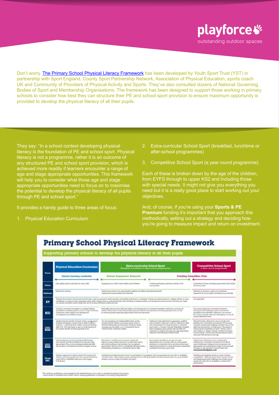

Don't worry. [The Primary School Physical Literacy Framework](https://www.youthsporttrust.org/sites/yst/files/resources/documents/physical_literacy_framework.pdf) has been developed by Youth Sport Trust (YST) in partnership with Sport England, County Sport Partnership Network, Association of Physical Education, sports coach UK and Community of Providers of Physical Activity and Sports. They've also consulted dozens of National Governing Bodies of Sport and Membership Organisations. The framework has been designed to support those working in primary schools to consider how best they can structure their PE and school sport provision to ensure maximum opportunity is provided to develop the physical literacy of all their pupils.

They say: "In a school context developing physical literacy is the foundation of PE and school sport. Physical literacy is not a programme, rather it is an outcome of any structured PE and school sport provision, which is achieved more readily if learners encounter a range of age and stage appropriate opportunities. This framework will help you to consider what those age and stage appropriate opportunities need to focus on to maximise the potential to develop the physical literacy of all pupils through PE and school sport."

It provides a handy guide to three areas of focus:

1. Physical Education Curriculum

- 2. Extra-curricular School Sport (breakfast, lunchtime or after-school programmes)
- 3. Competitive School Sport (a year round programme)

Each of these is broken down by the age of the children, from EYFS through to upper KS2 and including those with special needs. It might not give you everything you need but it is a really good place to start working out your objectives.

And, of course, if you're using your **Sports & PE Premium** funding it's important that you approach this methodically, setting out a strategy and deciding how you're going to measure impact and return on investment.

## **Primary School Physical Literacy Framework**

| <b>Focus</b>                      | <b>Physical Education Curriculum</b><br>Literacy, Learning, Leadership                                                                                                                                                                                                                                | Extra-curricular School Sport<br>Breakfast, lunchtime or afterechool programmes                                                                                                                                                                                                                                                                                                 |                                                                                                                                                                                                                                                                                                                                                                                                    | <b>Competitive School Sport</b><br>A year round programme                                                                                                                                                                                                                                                                                                                                                                                                |
|-----------------------------------|-------------------------------------------------------------------------------------------------------------------------------------------------------------------------------------------------------------------------------------------------------------------------------------------------------|---------------------------------------------------------------------------------------------------------------------------------------------------------------------------------------------------------------------------------------------------------------------------------------------------------------------------------------------------------------------------------|----------------------------------------------------------------------------------------------------------------------------------------------------------------------------------------------------------------------------------------------------------------------------------------------------------------------------------------------------------------------------------------------------|----------------------------------------------------------------------------------------------------------------------------------------------------------------------------------------------------------------------------------------------------------------------------------------------------------------------------------------------------------------------------------------------------------------------------------------------------------|
|                                   |                                                                                                                                                                                                                                                                                                       | Exercise, Engagement, Enjoyment                                                                                                                                                                                                                                                                                                                                                 |                                                                                                                                                                                                                                                                                                                                                                                                    | Coaching, Competition, Clubs                                                                                                                                                                                                                                                                                                                                                                                                                             |
| <b>Delivee</b>                    | High quality physical education for every child                                                                                                                                                                                                                                                       | Equipping every child to lead healthy active Mextyles.                                                                                                                                                                                                                                                                                                                          | Creating participation pathways inclusive of all<br>young people.                                                                                                                                                                                                                                                                                                                                  | Competition format: providing opportunities that include<br>all young gengle                                                                                                                                                                                                                                                                                                                                                                             |
| Deliverer                         | Delivered by teachers'                                                                                                                                                                                                                                                                                | Delivered by teachers and appropriately qualified and skilled coaches/professionals".<br>Supported by young leaders and voluntaers                                                                                                                                                                                                                                              |                                                                                                                                                                                                                                                                                                                                                                                                    | Delvered by teachers, coaches and volunteers.<br>Supported by roung leaders (including young officials)                                                                                                                                                                                                                                                                                                                                                  |
| EY                                | can express themselves about things they can do to keep themselves healthy and sale                                                                                                                                                                                                                   | Through the provision of structured and free play, create environments which introduce and develop control and ca-ordination in large and small movements. Helping childnen to move<br>confidently in a range of ways, negotiating space safely. Helping them to understand factors that contribute to keeping healthy, such as physical everytee and the lood they eat. Pupils | Not applicable                                                                                                                                                                                                                                                                                                                                                                                     |                                                                                                                                                                                                                                                                                                                                                                                                                                                          |
| KS1                               | Creating a movement foundation to underpin lifelong<br>participation, anabling pupils to access a runge of learning<br>experiences which supports the development.<br>of competent and confident moves.                                                                                               | Multi-skills clubs for every child that builds on the development of movement toundation without the curriculum PE<br>sesions. Place them in clubs that provides play and recibeces the importance of being physically action, as well<br>as introducing basic leadership apportunities and social interaction                                                                  |                                                                                                                                                                                                                                                                                                                                                                                                    | Year round programme of activities focused on<br>setting personal challenges, based on movement<br>foundation and multi-skills. Delivered in and around<br>We are a mitigatized pre-and submitted as a metal<br>annual celebration event                                                                                                                                                                                                                 |
| lower<br>KS <sub>2</sub>          | Adapted physical activities through which a young person.<br>develops and applies a broad range of skills in different.<br>certexts -- enhancing their creative, social and thinking<br>skills as PE. They also begin to gain an understanding of<br>the positive benefits of being physically active | Fun and engaging non-traditional/absmative activity<br>formats that get children and young secole active in<br>themed multi-activity environments; introduces simple<br>messages around health, e.g. in Change-ILBs Sports<br>Clubs (Combat, Adventure, Flight)                                                                                                                 | Multi-sport clubs delivered by appropriate, qualified.<br>and accredited 'multi-sport' coaches. Utilising the skills<br>and characteristics of a range of sports in a themed<br>sports dub i.e. Imasion, Netwall, Snkeyfield, Disability<br>liport. Equipping young people with the skills and<br>comfidence to progress into age and stage appropriate<br>National Governing Body (NGB) torniats. | Themed formatic, delivered in extra-curricular time.<br>Building from competition introduced in PE. focused<br>on games and personal challence activities that use the<br>skills and characteristics of NGB sports. This supports<br>School Carnes competition at Level 1 (Intra), Level 2.<br>and 3 (Inter-) i.e. Tarpet, Netwall, Combat or Inclusive<br>Cames festivali. The very lew early specialistion sports<br>may have NGB formuls for this age |
| <b>LEIDINE</b><br>KS <sub>2</sub> | Learning physical, uscial and thinking skills through<br>sport specific activities droodlind to be age and stage<br>appropriate). They are also developing leadership skills<br>and are able to articulate the benefits of regular exercise                                                           | Alternative or modified were-curricular activity that<br>supports young people interested in an alternative sports<br>and activity pathwars that transition into recreational<br>opportunities offered at KS3 i.e. Dodgeball, Ultimate Friday,<br>Cheerleading, StreetDancx or Wheelchair Sports Skills.                                                                        | Sport spacific (modified to be age and stage<br>appropriate) extra-curricular dubs for young prople<br>wonting to be involved in Intra- and Inter-school sport.<br>Supporting transition to a local diuteriark (or equivalent)<br>accredited community gorts club                                                                                                                                  | NGB formats delivered in cutra-comicaler time<br>building from competition introduced in PE. Based<br>upon modifications designed to be progressive and<br>appropriate to the development stage of young people.<br>Example: on the Saindsury's School Cames site<br>www.yourschoolgames.com                                                                                                                                                             |
| <b>Think</b><br>INC.              | Teachers supported to deliver inclusive PE meaning that<br>Ikinokrasha labaqa ayad othu algoaq prusul bna, teablitis<br>rweels (3010 or disabilities fully access and engage<br>in PE lessons                                                                                                         | lidentifying and addressing the bankes to participation in consultation with young people who have SEN or disabilities<br>and their caren. Utilize anaptive genera parkages such as TOP Sportrability to increase opportunities for young dealthed<br>people to access a range of activities and sports                                                                         |                                                                                                                                                                                                                                                                                                                                                                                                    | Modifying and adapting activity to create 'inclusive<br>compartitions". Utilizing axiating NGB "inclusive" formats.<br>and designing personal challenges that enable young<br>people who have SEN or disabilities to achieve their<br>personal best                                                                                                                                                                                                      |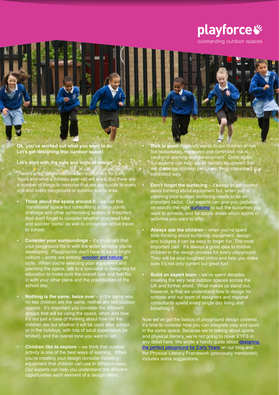

outstanding outdoor spaces

**Ok, you've worked out what you want to do. Let's get designing this ourdoor space!**

**Let's start with the nuts and bolts of design**

There's a big difference between equipment for Early Years and what a thirteen year-old will want. But there are a number of things to consider that are applicable to every age and every playground or outdoor sports area:

- **Think about the space around it** we call this 'transitional' space but considering access points, drainage and other surrounding spaces is important. And don't forget to consider whether you need bike and scooter 'parks' as well to encourage active travel to school.
- **Consider your surroundings** it's important that your playground fits in with the wider scheme you're developing. Playgrounds don't have to be all bright colours – some are entirely **wooden and natural** in style. When you're selecting your equipment and planning the space, talk to a specialist in designing for education to make sure the overall look and feel fits in with your other plans and the practicalities of the school day.
- **Nothing is the same, twice over** in the same way no two children are the same, neither are two outdoor spaces. It's important you consider the different groups that will be using the space, when and how. It's not just a case of thinking about how old the children are but whether it will be used after school or in the holidays, with lots of adult supervision (or limited), and the overall tone you want to set.
- **• Children like to explore** we think that outdoor activity is one of the best ways of learning. When you're creating your design consider installing equipment that children can use in different ways. Our experts can help you understand the different opportunities each element of a design offers.

**• Risk is good** – nobody wants to put children at risk but reasonable, measured and controlled risk is central to learning and development. Once again, our experts can help you to identify equipment that will challenge children (and keep them interested) in a controlled way.

- **• Don't forget the surfacing** it's easy to get carried away thinking about equipment but, when you're planning your budget, surfacing needs to be an important factor. Our experts can give you guidance on exactly the right [surfacing](http://www.playforce.co.uk/play-equipment/surfaces) to suit the outcomes you want to achieve, and for sports areas which sports or activities you want to offer.
	- **• Always ask the children** when you've spent time thinking about surfacing, equipment, design and budgets it can be easy to forget fun. The most important part. It's always a good idea to involve children in the design process for every playground. They will be your toughest critics and help you make sure it's not only current but great fun!
- **• Build an expert team** we've spent decades creating the very best outdoor spaces across the UK and further afield. What makes us stand out, however, is that we understand how to design for schools and our team of designers and regional consultants spend every single day living and breathing it.

Now we've got the basics of playground design covered, it's time to consider how you can integrate play and sport in the same space. Because we're talking about sports and physical literacy, we're not going to cover EYFS in and priyer was also y, wrote a handy guide about designing [the perfect playground for Early Years](http://www.playforce.co.uk/about-us/news/5-ways-to-design-the-perfect-early-years-playground) on our blog and the Physical Literacy Framework (previously mentioned) includes some suggestions.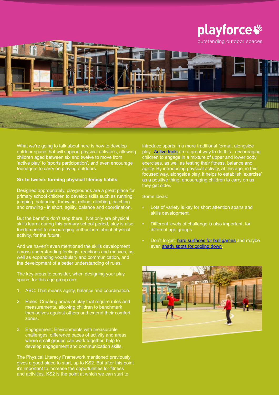

What we're going to talk about here is how to develop outdoor space that will support physical activities, allowing children aged between six and twelve to move from 'active play' to 'sports participation', and even encourage teenagers to carry on playing outdoors.

## **Six to twelve: forming physical literacy habits**

Designed appropriately, playgrounds are a great place for primary school children to develop skills such as running, jumping, balancing, throwing, rolling, climbing, catching and crawling - in short, agility, balance and coordination.

But the benefits don't stop there. Not only are physical skills learnt during this primary school period, play is also fundamental to encouraging enthusiasm about physical activity, for the future.

And we haven't even mentioned the skills development across understanding feelings, reactions and motives, as well as expanding vocabulary and communication, and the development of a better understanding of rules.

The key areas to consider, when designing your play space, for this age group are:

- 1. ABC: That means agility, balance and coordination.
- 2. Rules: Creating areas of play that require rules and measurements, allowing children to benchmark themselves against others and extend their comfort zones.
- 3. Engagement: Environments with measurable challenges, difference paces of activity and areas where small groups can work together, help to develop engagement and communication skills.

The Physical Literacy Framework mentioned previously gives a good place to start, up to KS2. But after this point it's important to increase the opportunities for fitness and activities. KS2 is the point at which we can start to

introduce sports in a more traditional format, alongside play. [Active trails](http://www.playforce.co.uk/play-equipment/fitness-and-trails) are a great way to do this - encouraging children to engage in a mixture of upper and lower body exercises, as well as testing their fitness, balance and agility. By introducing physical activity, at this age, in this focused way, alongside play, it helps to establish 'exercise' as a positive thing, encouraging children to carry on as they get older.

## Some ideas:

- Lots of variety is key for short attention spans and skills development.
- Different levels of challenge is also important, for different age groups.
- Don't forget: [hard surfaces for ball games](http://www.playforce.co.uk/play-equipment/surfaces) and maybe even [shady spots for cooling down](http://www.playforce.co.uk/play-equipment/outdoor-classrooms-and-shelters).